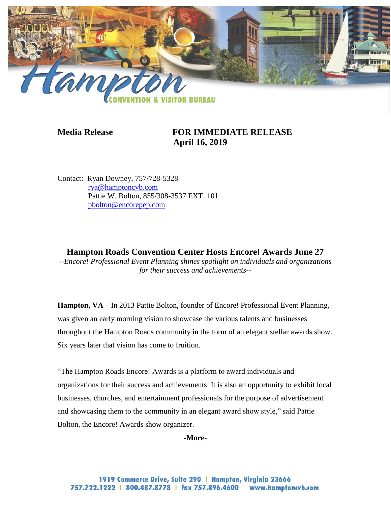

## **Media Release FOR IMMEDIATE RELEASE April 16, 2019**

Contact: Ryan Downey, 757/728-5328 [rya@hamptoncvb.com](mailto:rya@hamptoncvb.com) Pattie W. Bolton, 855/308-3537 EXT. 101 [pbolton@encorepep.com](mailto:pbolton@encorepep.com)

**Hampton Roads Convention Center Hosts Encore! Awards June 27** *--Encore! Professional Event Planning shines spotlight on individuals and organizations for their success and achievements--*

**Hampton, VA** – In 2013 Pattie Bolton, founder of Encore! Professional Event Planning, was given an early morning vision to showcase the various talents and businesses throughout the Hampton Roads community in the form of an elegant stellar awards show. Six years later that vision has come to fruition.

"The Hampton Roads Encore! Awards is a platform to award individuals and organizations for their success and achievements. It is also an opportunity to exhibit local businesses, churches, and entertainment professionals for the purpose of advertisement and showcasing them to the community in an elegant award show style," said Pattie Bolton, the Encore! Awards show organizer.

**-More-**